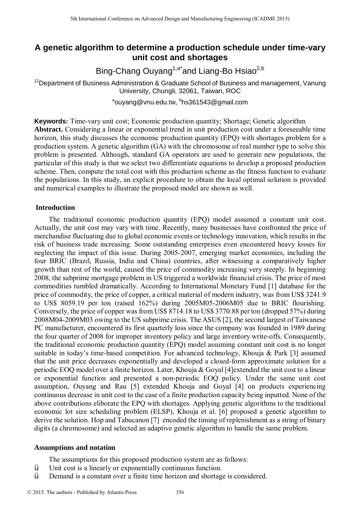# **A genetic algorithm to determine a production schedule under time-vary unit cost and shortages**

Bing-Chang Ouyang<sup>1,a\*</sup>and Liang-Bo Hsiao<sup>2,b</sup>

 $12$ Department of Business Administration & Graduate School of Business and management, Vanung University, Chungli, 32061, Taiwan, ROC

<sup>a</sup>ouyang@vnu.edu.tw, <sup>b</sup>hs361543@gmail.com

**Keywords:** Time-vary unit cost; Economic production quantity; Shortage; Genetic algorithm **Abstract.** Considering a linear or exponential trend in unit production cost under a foreseeable time horizon, this study discusses the economic production quantity (EPQ) with shortages problem for a production system. A genetic algorithm (GA) with the chromosome of real number type to solve this problem is presented. Although, standard GA operators are used to generate new populations, the particular of this study is that we select two differentiate equations to develop a proposed production scheme. Then, compute the total cost with this production scheme as the fitness function to evaluate the populations. In this study, an explicit procedure to obtain the local optimal solution is provided and numerical examples to illustrate the proposed model are shown as well.

# **Introduction**

The traditional economic production quantity (EPQ) model assumed a constant unit cost. Actually, the unit cost may vary with time. Recently, many businesses have confronted the price of merchandise fluctuating due to global economic events or technology innovation, which results in the risk of business trade increasing. Some outstanding enterprises even encountered heavy losses for neglecting the impact of this issue. During 2005-2007, emerging market economies, including the four BRIC (Brazil, Russia, India and China) countries, after witnessing a comparatively higher growth than rest of the world, caused the price of commodity increasing very steeply. In beginning 2008, the subprime mortgage problem in US triggered a worldwide financial crisis. The price of most commodities tumbled dramatically. According to International Monetary Fund [1] database for the price of commodity, the price of copper, a critical material of modern industry, was from US\$ 3241.9 to US\$ 8059.19 per ton (raised 162%) during 2005M05-2006M05 due to BRIC flourishing. Conversely, the price of copper was from US\$ 8714.18 to US\$ 3770.88 per ton (dropped 57%) during 2008M04-2009M03 owing to the US subprime crisis. The ASUS [2], the second largest of Taiwanese PC manufacturer, encountered its first quarterly loss since the company was founded in 1989 during the four quarter of 2008 for improper inventory policy and large inventory write-offs. Consequently, the traditional economic production quantity (EPQ) model assuming constant unit cost is no longer suitable in today's time-based competition. For advanced technology, Khouja & Park [3] assumed that the unit price decreases exponentially and developed a closed-form approximate solution for a periodic EOQ model over a finite horizon. Later, Khouja & Goyal [4]extended the unit cost to a linear or exponential function and presented a non-periodic EOQ policy. Under the same unit cost assumption, Ouyang and Rau [5] extended Khouja and Goyal [4] on products experiencing continuous decrease in unit cost to the case of a finite production capacity being inputted. None of the above contributions eliborate the EPQ with shortages. Applying genetic algorithms to the traditional economic lot size scheduling problem (ELSP), Khouja et al. [6] proposed a genetic algorithm to derive the solution. Hop and Tabucanon [7] encoded the timing of replenishment as a string of binary digits (a chromosome) and selected an adaptive genetic algorithm to handle the same problem. <sup>516</sup> the maintimal Conference on Advanced Design and Manufacturing Engineering (Conserverence)<br> **A generic algorithm to determine a production schedule under<br>
Eing-Chang Quyang<sup>-3</sup> and Liang-Bo Hisiao<sup>2</sup><sup>3</sup><br>
<sup>2</sup>Department** 

## **Assumptions and notation**

The assumptions for this proposed production system are as follows:

- $\ddot{v}$  Unit cost is a linearly or exponentially continuous function.<br> $\ddot{v}$  Demand is a constant over a finite time horizon and shortage
- Demand is a constant over a finite time horizon and shortage is considered.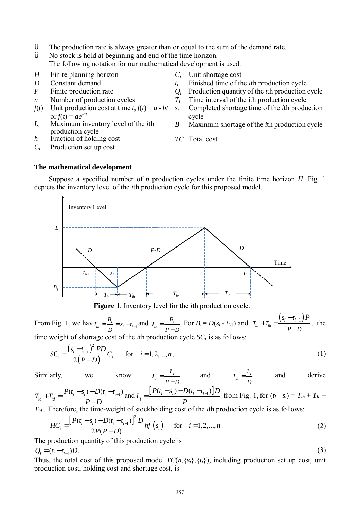- $\ddot{Y}$  The production rate is always greater than or equal to the sum of the demand rate.
- $\ddot{\mathbf{y}}$  No stock is hold at beginning and end of the time horizon. The following notation for our mathematical development is used.
- *H* Finite planning horizon *C<sup>s</sup>* Unit shortage cost
- 
- 
- 
- *f*(*t*) Unit production cost at time *t*,  $f(t) = a bt$   $s_i$  $\overline{f}(t) = ae^{-bt}$
- *Li* Maximum inventory level of the *i*th production cycle
- *h* Fraction of holding cost *TC* Total cost
- *Cr* Production set up cost
- 
- *D* Constant demand *t<sub>i</sub>* Finished time of the *i*th production cycle
- *P* Finite production rate *Q<sup>i</sup>* Production quantity of the *i*th production cycle
- *n* **Number of production cycles**  $T_i$  **Time interval of the ith production cycle** 
	- *s<sup>i</sup>* Completed shortage time of the *i*th production cycle
	- *B<sup>i</sup>* Maximum shortage of the *i*th production cycle

(3)

### **The mathematical development**

Suppose a specified number of *n* production cycles under the finite time horizon *H*. Fig. 1 depicts the inventory level of the *i*th production cycle for this proposed model.



**Figure 1**. Inventory level for the *i*th production cycle.

From Fig. 1, we hav  $T_{ia} = \frac{B_i}{D} = s_i - t_{i-1}$  $\sum_{i}^{i} = \frac{B_i}{D} = s_i - t_i$  $T_{i} = \frac{B_i}{t} = s_i - t$  $=\frac{B_i}{D} = s_i - t_{i-1}$  and  $T_{ib} = \frac{B_i}{P-1}$  $T_{ik} = \frac{B}{\sqrt{2\pi}}$ *P D* = − For  $B_i = D(s_i - t_{i-1})$  and  $T_{ia} + T_{ib} = \frac{(s_i - t_{i-1})}{s_i}$  $T_{ia} + T_{ib} = \frac{(S_i - I_i)}{R}$ *P D*  $=\frac{(s_i-t_{i-1})P}{(s_i-t_{i-1})P}$ − −  $+ T_{ih} = \frac{(v_i - v_{i-1})^2}{r^2}$ , the time weight of shortage cost of the *i*th production cycle *SC<sup>i</sup>* is as follows:

$$
SC_i = \frac{(s_i - t_{i-1})^2 PD}{2(P - D)}C_s \quad \text{for} \quad i = 1, 2, ..., n
$$
 (1)

Similarly, we know  $T_{ic} = \frac{L_i}{R}$  $T_{ic} = \frac{L}{\sqrt{L}}$ *P D* = − and  $T_{id} = \frac{L_i}{R}$  $T_{\mu} = \frac{L}{\mu}$ *D*  $=\frac{L_i}{r}$  and derive

$$
T_{ic} + T_{id} = \frac{P(t_i - s_i) - D(t_i - t_{i-1})}{P - D}
$$
 and  $L_i = \frac{[P(t_i - s_i) - D(t_i - t_{i-1})]D}{P}$  from Fig. 1, for  $(t_i - s_i) = T_{ib} + T_{ic} + T_{ib}$ 

*Tid* . Therefore, the time-weight of stockholding cost of the *i*th production cycle is as follows:

$$
HC_i = \frac{\left[P(t_i - s_i) - D(t_i - t_{i-1})\right]^2 D}{2P(P - D)} h f(s_i) \quad \text{for} \quad i = 1, 2, ..., n. \tag{2}
$$

The production quantity of this production cycle is

 $Q_i = (t_i - t_{i-1})D.$ 

Thus, the total cost of this proposed model  $TC(n, \{s_i\}, \{t_i\})$ , including production set up cost, unit production cost, holding cost and shortage cost, is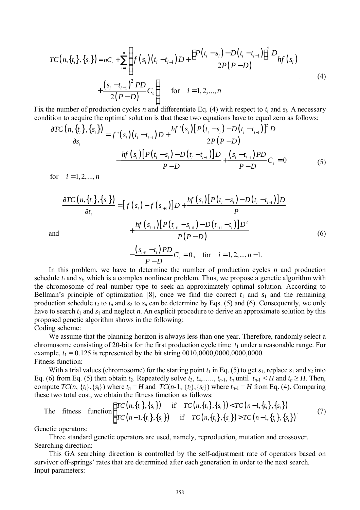$$
TC(n, \{t_i\}, \{s_i\}) = nC_r + \sum_{i=1}^n \left\{ f(s_i) (t_i - t_{i-1}) D + \frac{\left[ P(t_i - s_i) - D(t_i - t_{i-1}) \right]^2 D}{2P(P - D)} h f(s_i) + \frac{\left(s_i - t_{i-1}\right)^2 P D}{2(P - D)} C_s \right\}
$$
 (4)

Fix the number of production cycles *n* and differentiate Eq. (4) with respect to *t<sup>i</sup>* and *si*. A necessary condition to acquire the optimal solution is that these two equations have to equal zero as follows:

$$
\frac{\partial TC\left(n,\{t_{i}\},\{s_{i}\}\right)}{\partial s_{i}} = f'(s_{i})(t_{i} - t_{i-1})D + \frac{hf'(s_{i})\left[P(t_{i} - s_{i}) - D(t_{i} - t_{i-1})\right]^{2}D}{2P(P - D)}
$$

$$
-\frac{hf(s_{i})\left[P(t_{i} - s_{i}) - D(t_{i} - t_{i-1})\right]D}{P - D} + \frac{(s_{i} - t_{i-1})PD}{P - D}C_{s} = 0
$$
(5)

for  $i = 1, 2, ..., n$ 

$$
\frac{\partial TC\left(n,\lbrace t_{i}\rbrace,\lbrace s_{i}\rbrace\right)}{\partial t_{i}} = [f\left(s_{i}\right) - f\left(s_{i+1}\right)]D + \frac{hf\left(s_{i}\right)[P\left(t_{i}-s_{i}\right) - D\left(t_{i}-t_{i-1}\right)]D}{P} + \frac{hf\left(s_{i+1}\right)[P\left(t_{i+1}-s_{i+1}\right) - D\left(t_{i+1}-t_{i}\right)]D^{2}}{P\left(P-D\right)} \tag{6}
$$

and

$$
-\frac{(s_{i+1}-t_i)PD}{P-D}C_s = 0, \text{ for } i = 1, 2, ..., n-1.
$$

In this problem, we have to determine the number of production cycles *n* and production schedule *t<sup>i</sup>* and *si*, which is a complex nonlinear problem. Thus, we propose a genetic algorithm with the chromosome of real number type to seek an approximately optimal solution. According to Bellman's principle of optimization [8], once we find the correct  $t_1$  and  $s_1$  and the remaining production schedule  $t_2$  to  $t_n$  and  $s_2$  to  $s_n$  can be determine by Eqs. (5) and (6). Consequently, we only have to search  $t_1$  and  $s_1$  and neglect *n*. An explicit procedure to derive an approximate solution by this proposed genetic algorithm shows in the following:

Coding scheme:

We assume that the planning horizon is always less than one year. Therefore, randomly select a chromosome consisting of 20-bits for the first production cycle time *t*<sup>1</sup> under a reasonable range. For example,  $t_1 = 0.125$  is represented by the bit string  $0010,0000,0000,0000,0000$ . Fitness function:

With a trial values (chromosome) for the starting point  $t_1$  in Eq. (5) to get  $s_1$ , replace  $s_1$  and  $s_2$  into Eq. (6) from Eq. (5) then obtain  $t_2$ . Repeatedly solve  $t_3$ ,  $t_4$ , ...,  $t_{n-1}$ ,  $t_n$  until  $t_{n-1}$  < *H* and  $t_n \geq H$ . Then, compute  $TC(n, \{t_i\}, \{s_i\})$  where  $t_n = H$  and  $TC(n-1, \{t_i\}, \{s_i\})$  where  $t_{n-1} = H$  from Eq. (4). Comparing these two total cost, we obtain the fitness function as follows:

The fitness function 
$$
\begin{cases} TC(n, \{t_i\}, \{s_i\}) & \text{if } TC(n, \{t_i\}, \{s_i\}) < TC(n-1, \{t_i\}, \{s_i\}) \\ TC(n-1, \{t_i\}, \{s_i\}) & \text{if } TC(n, \{t_i\}, \{s_i\}) > TC(n-1, \{t_i\}, \{s_i\}) \end{cases}
$$
(7)

Genetic operators:

Three standard genetic operators are used, namely, reproduction, mutation and crossover. Searching direction:

This GA searching direction is controlled by the self-adjustment rate of operators based on survivor off-springs' rates that are determined after each generation in order to the next search. Input parameters: